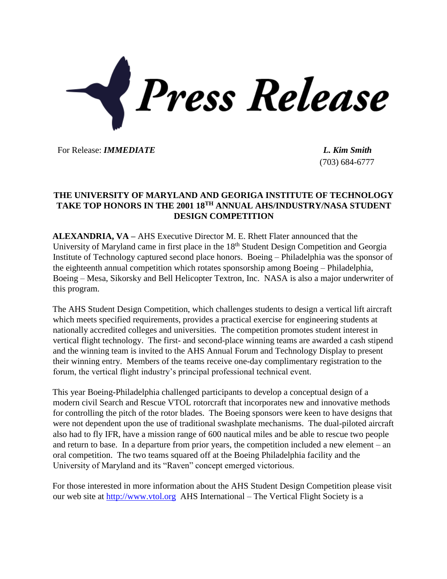

For Release: *IMMEDIATE L. Kim Smith*

(703) 684-6777

## **THE UNIVERSITY OF MARYLAND AND GEORIGA INSTITUTE OF TECHNOLOGY TAKE TOP HONORS IN THE 2001 18TH ANNUAL AHS/INDUSTRY/NASA STUDENT DESIGN COMPETITION**

**ALEXANDRIA, VA –** AHS Executive Director M. E. Rhett Flater announced that the University of Maryland came in first place in the 18<sup>th</sup> Student Design Competition and Georgia Institute of Technology captured second place honors. Boeing – Philadelphia was the sponsor of the eighteenth annual competition which rotates sponsorship among Boeing – Philadelphia, Boeing – Mesa, Sikorsky and Bell Helicopter Textron, Inc. NASA is also a major underwriter of this program.

The AHS Student Design Competition, which challenges students to design a vertical lift aircraft which meets specified requirements, provides a practical exercise for engineering students at nationally accredited colleges and universities. The competition promotes student interest in vertical flight technology. The first- and second-place winning teams are awarded a cash stipend and the winning team is invited to the AHS Annual Forum and Technology Display to present their winning entry. Members of the teams receive one-day complimentary registration to the forum, the vertical flight industry's principal professional technical event.

This year Boeing-Philadelphia challenged participants to develop a conceptual design of a modern civil Search and Rescue VTOL rotorcraft that incorporates new and innovative methods for controlling the pitch of the rotor blades. The Boeing sponsors were keen to have designs that were not dependent upon the use of traditional swashplate mechanisms. The dual-piloted aircraft also had to fly IFR, have a mission range of 600 nautical miles and be able to rescue two people and return to base. In a departure from prior years, the competition included a new element – an oral competition. The two teams squared off at the Boeing Philadelphia facility and the University of Maryland and its "Raven" concept emerged victorious.

For those interested in more information about the AHS Student Design Competition please visit our web site at [http://www.vtol.org](http://www.vtol.org/) AHS International – The Vertical Flight Society is a